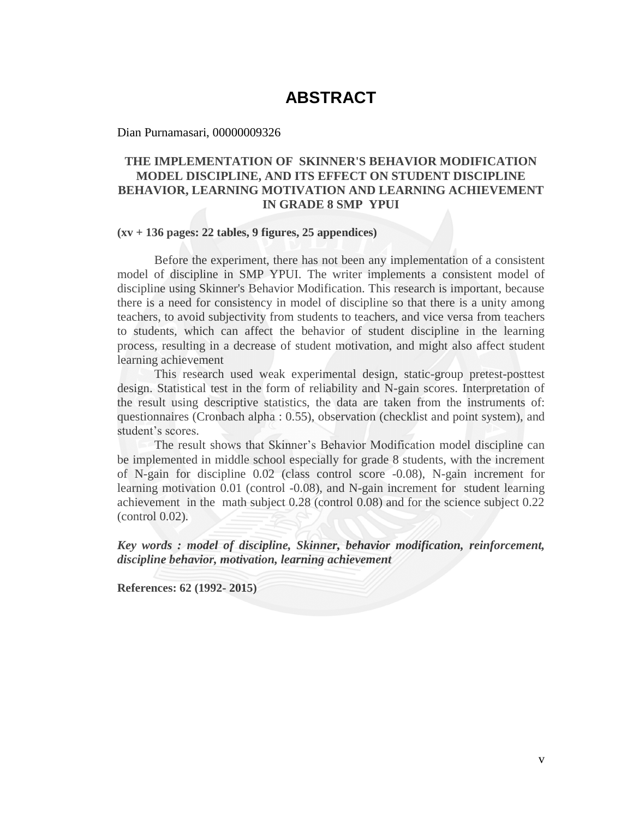# **ABSTRACT**

Dian Purnamasari, 00000009326

### **THE IMPLEMENTATION OF SKINNER'S BEHAVIOR MODIFICATION MODEL DISCIPLINE, AND ITS EFFECT ON STUDENT DISCIPLINE BEHAVIOR, LEARNING MOTIVATION AND LEARNING ACHIEVEMENT IN GRADE 8 SMP YPUI**

### **(xv + 136 pages: 22 tables, 9 figures, 25 appendices)**

Before the experiment, there has not been any implementation of a consistent model of discipline in SMP YPUI. The writer implements a consistent model of discipline using Skinner's Behavior Modification. This research is important, because there is a need for consistency in model of discipline so that there is a unity among teachers, to avoid subjectivity from students to teachers, and vice versa from teachers to students, which can affect the behavior of student discipline in the learning process, resulting in a decrease of student motivation, and might also affect student learning achievement

This research used weak experimental design, static-group pretest-posttest design. Statistical test in the form of reliability and N-gain scores. Interpretation of the result using descriptive statistics, the data are taken from the instruments of: questionnaires (Cronbach alpha : 0.55), observation (checklist and point system), and student's scores.

The result shows that Skinner's Behavior Modification model discipline can be implemented in middle school especially for grade 8 students, with the increment of N-gain for discipline 0.02 (class control score -0.08), N-gain increment for learning motivation 0.01 (control -0.08), and N-gain increment for student learning achievement in the math subject 0.28 (control 0.08) and for the science subject 0.22 (control 0.02).

*Key words : model of discipline, Skinner, behavior modification, reinforcement, discipline behavior, motivation, learning achievement* 

**References: 62 (1992- 2015)**